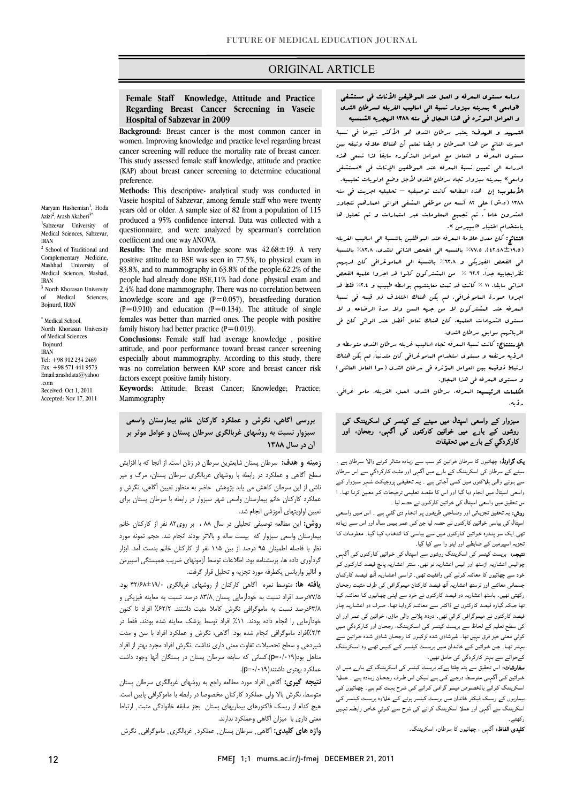### ORIGINAL ARTICLE

### **Female Staff Knowledge, Attitude and Practice Regarding Breast Cancer Screening in Vaseie Hospital of Sabzevar in 2009**

Ī 

 **Background:** Breast cancer is the most common cancer in women. Improving knowledge and practice level regarding breast This study assessed female staff knowledge, attitude and practice (KAP) about breast cancer screening to determine educational cancer screening will reduce the mortality rate of breast cancer. preference.

 **Methods:** This descriptive- analytical study was conducted in Vaseie hospital of Sabzevar, among female staff who were twenty years old or older. A sample size of 82 from a population of 115 questionnaire, and were analyzed by spearman's correlation produced a 95% confidence interval. Data was collected with a coefficient and one way ANOVA.

**RESULIS:** The mean knowledge score was 42.08 ± 19. A very positive attitude to BSE was seen in 77.5%, to physical exam in 83.8%, and to mammography in 63.8% of the people.62.2% of the people had already done BSE,11% had done physical exam and  $\frac{1}{2}$ ,  $\frac{1}{2}$ ,  $\frac{1}{2}$  and some manimistry principal intervals to correlation between  $(P=0.910)$  and education  $(P=0.134)$ . The attitude of single family history had better practice (P=0.019). **Results:** The mean knowledge score was  $42.68 \pm 19$ . A very 2,4% had done mammography. There was no correlation between females was better than married ones. The people with positive

 **Conclusions:** Female staff had average knowledge , positive attitude, and poor performance toward breast cancer screening was no correlation between KAP score and breast cancer risk especially about mammography. According to this study, there factors except positive family history.

 **Keywords:** Attitude; Breast Cancer; Knowledge; Practice; Mammography

 **بررسي آگاهي، نگرش و عملكرد كاركنان خانم بيمارستان واسعي سبزوار نسبت به روشهاي غربالگري سرطان پستان و عوامل موثر بر آن در سال 1388**

 **زمينه و هدف:** سرطان پستان شايعترين سرطان در زنان است. از آنجا كه با افزايش سطح آگاهي و عملكرد در رابطه با روشهاي غربالگري سرطان پستان، مرگ و مير ناشي از اين سرطان كاهش مي يابد پژوهش حاضر به منظور تعيين آگاهي، نگرش و عملكرد كاركنان خانم بيمارستان واسعي شهر سبزوار در رابطه با سرطان پستان براي تعيين اولويتهاي آموزشي انجام شد.

 **روش:** اين مطالعه توصيفي تحليلي در سال 88 ، بر روي82 نفر از كاركنان خانم بيمارستان واسعي سبزوار كه بيست ساله و بالاتر بودند انجام شد. حجم نمونه مورد نظر با فاصله اطمينان 95 درصد از بين 115 نفر از كاركنان خانم بدست آمد. ابزار گردآوري داده ها، پرسشنامه بود. اطلاعات توسط آزمونهاي ضريب همبستگي اسپيرمن و آناليز واريانس يكطرفه مورد تجزيه و تحليل قرار گرفت.

 **يافته ها:** متوسط نمره آگاهي كاركنان از روشهاي غربالگري 42/68±19/0 بود. 77/5درصد افراد نسبت به خودآزمايي پستان̦ 83/8 درصد نسبت به معاينه فيزيكي و ۱٬۱۰۰ درصد نسبت به مامونزانی نکرس ناماد مثبت داشتند. ۱٬۱۰۱٬ افراد با صون<br>خودآزمايی را انجام داده بودند. ۱۱٪ افراد توسط پزشک معاينه شده بودند. فقط در %2/4افراد ماموگرافي انجام شده بود. آگاهي، نگرش و عملكرد افراد با سن و مدت شيردهي و سطح تحصيلات تفاوت معني داري نداشت .نگرش افراد مجرد بهتر از افراد متاهل بود(0/019=p(.كساني كه سابقه سرطان پستان در بستگان آنها وجود داشت عملكرد بهتري داشتند(0/019=p(. 63/8درصد نسبت به ماموگرافي نگرش كاملا مثبت داشتند. %62/2 افراد تا كنون

 **نتيجه گيري:** آگاهي افراد مورد مطالعه راجع به روشهاي غربالگري سرطان پستان متوسط، نگرش بالا ولي عملكرد كاركنان مخصوصا در رابطه با ماموگرافي پايين است. <sub>عنيچ</sub> <sub>مدام از</sub> ريست 5 سورهاي بيماريهاي پس<br>معني داري با ميزان آگاهي وعملكرد ندارند. هيچ كدام از ريسك فاكتورهاي بيماريهاي پستان بجز سابقه خانوادگي مثبت̦ ارتباط

**واژه هاي كليدي:** آگاهي̦ سرطان پستان̦ عملكرد̦ غربالگري̦ ماموگرافي̦ نگرش

### دراسه مستوى البعرفه و العيل عند البوظيفن الأناث في مستشفى<br>«دارس» - زور دارس في المواطن المواطن الأمار على المواطن الثمين و العوامل الموثره في هذا المجال في سنه 1388 الهجريه الشمسيه «واسعي » بمدينه سبزوار نسبة الي اساليب الغربله لسرطان الثدي

Ī 

 التمهيد و الهدف: يعتبر سرطان الثدي هو الأكثر شيوعاَ في نسبة الموت الناتج من هذا السرطان و ايضا نعلم أن هناك علاقه وثيقه بين مستوي المعرفه و التعامل مع العوامل المذكوره سابقاَ لذا تسعي هذه الدراسه الي تعيين نسبة المعرفه عند الموظفين الإناث في «مستشفي واسمى» بتدينه مبروار لبنا» برمان اللذق مرجل وصلح أولويات لتثبيتها.<br>**الأملوب:** إن هذه البطالعه كانت توصيفيه – تحليليه اجريت في س*ن*ه 1388 (ه.ش) علي 82 آنسه من موظفي المشفي الواتي اعمارهم تتجاوز العشرون عاما .ً تم تجميع المعلومات عبر استمارات و تم تحليل ها باستخدام اختبار «اسپيرمن ». واسعي» بمدينه سبزوار تجاه سرطان الثدي لأجل وضع اولويات تعليميه.

 النتائج: كان معدل علامة المعرفه عند الموظفين بالنسبة الي اساليب الغربله (42.48±19.5). %77.5 بالنسبه الي الفحص الذاتي للثدي، %83.8 بالنسبة ني المشتق العيريني و السلام بالمسبب الى البستولزاي التال عيبهم<br>نظرايجابيه جداً. ٦٢.٢ % من المشتركون كانوا قد اجروا علميه الفحص الذاتي سابقا. 11 % كانت قد تمت معاينتهم بواسطه طبيب و %2.4 فقط قد اجروا صورة الماموغرافي. لم يكن هناك اختلاف ذو قيمه في نسبة المعرفه عند المشتركون لا من جهه السن ولا مدة الرضاعه و لا مستوي الشهادات العلميه. كان هناك تعامل أفضل عند الواتي كان في اقربائههم سوابق سرطان الثدى.<br>المصدريين مصدر : مصدر : مصدر الي الفحص الفيزيكي و %63.8 بالنسبة الي الماموغرافي كان لديهم

المجلستين مرتفعه و مستوي استخدام الباست و باستخدام و مستخدمات المستخدمات المستخدمات المستخدمات المستخدمات المس<br>الرؤيه مرتفعه و مستوى استخدام العاموغرافي كان متدنياً. لهم يكن هناك ارتباط ذوقيمه بين العوامل المؤثره في سرطان الثدي (سوا العامل العائلي) و مستوي المعرفه في هذا المجال. الإستنتاج: كانت نسبة المعرفه تجاه اساليب غربله سرطان الثدي متوسطه و

 الكلمات الرئيسيه: المعرفه، سرطان الثدي، العمل، الغربله، مامو غرافي، رؤيه.

## سبزوار کے واسعی اسپتال میں سینے کے کینسر کی اسکریننگ کی روشوں کے بارے میں خواتین کارکنوں کی آگہی، رجحان، اور<br>*دا کہ ک*ے ا کارکردگي کے بارے میں تحقیقات

 یک گراونڈ: چھاتیوں کا سرطان خواتین کو سـب سـے زیـادہ متـاثر کـرنے والـا سـرطان ہـے ۔ سینے کے سرطان کی اسکریننگ کے بارے میں آگہی اور مثبت کارکردگي سے اس سرطان<br>مسینے کے سرطان کی اسکسین کے آیات –<br>واسعی اسپتال میں انجام دیا گيا اور اس کا مقصد تعلیمی ترجیحات کـو معـین کرنـا تھـا۔ ا س تحقیق میں واسعی اسپتال کی خواتین کارکنوں نے حصہ لیا ۔ سے ہـونے والـی ہلـاکتوں مـیں کمـی آجـاتی ہـے ۔ یـہ تحقیقـی پروجیکـٹ شـہر سـبزوار کـے

روس: یہ نحییٰ نجریاتی اور وصاحبی صریفوں پر انجام دی نتی ہے ۔ اس میں واسعی<br>اسپتال کی بیاسی خواتین کارکنوں نے حصہ لیا جن کـی عمـر بـیس سال اور اس سـے زیـادہ ۔<br>نهی۔ایک سو پنـدرہ خـواتین کـارکنوں مـیں سے بیاسـی کـا انتخـاب کیـا گیـا۔ معلومـات کـا تجزیہ اسپیرمین کے ضابطے اور اینو وا سے کیا گيا۔ روش: یہ تحقیق تجزیـاتی اور وضـاحتی طریقـوں پـر انجـام دی گئـي ہـے ۔ اس مـیں واسـعی

**ینیجہ**. بریست نیستر ن*ی* استریست روسوں سے اسپتان ن*ی خواتین ت*ارکنوں ن*ے* انہے<br>چوالیس اعشاریہ اڑسٹھ اور انیس اعشاریہ نو تھی۔ ستتر اعشاریہ پانچ فیصد کـارکنوں کـو خود سے چھاتیوں کا معائنہ کـرنے کـی واقفیـت تھـی۔ تراسـی اعشـاریہ آٹـھ فیصـد کارکنـان جسمانی معائنے اور ترسٹھ اعشاریہ آٹھ فیصد کارکنان میموگرافی کی طرف مثبـت رجحـان رتھی تھیں۔ باشتہ احساریہ در نیستند تارنسوں نے حود سے اپنی پہنچوں نے سامننہ نید<br>نہا جبکہ گیارہ فیصد کارکنوں نے ڈاکٹـر سے معائنـہ کروایـا تھـا۔ صـرف دو اعشـاریہ چـار فیصد کارکنوں نے میموگرافی کرائي تھی۔ دودھ پلانے والی ماؤں، خواتین کی عمـر اور ان کی سطح تعلیم کے لحاظ سے بریسٹ کینسر کـی اسـکریننگ، رجحـان اور کـارکردگي مـیں برتي مــیں نیر برن نہيں ہــ ـ نیرسانی سند بریسوں نــ (بــاب ســابی سند بــواتین) سے<br>بہتـر تھـا۔ جـن خـواتین کـے خانـدان مـیں بریسـٹ کینسـر کـے کـیس تھـے وہ اســکریننگ کےحوالے سے بہتر کارکردگي کی حامل تھیں۔ نتیجہ: بریسٹ کینسر کی اسکریننگ روشوں سے اسپتال کی خـواتیں کـارکنوں کـی آگہـی رکھتی تھیں۔ باسٹھ اعشاریہ دو فیصد کارکنوں نے خود سے اپنـی چھـاتیوں کـا معائنـہ کیـا کوئي معنی خيز فرق نہیں تھا۔ غیرشادی شدہ لڑکیـوں کـا رجحـان شـادی شـدہ خـواتین سـے

**سفارشات:** اس تحقیق سے پتہ چلتا ہےکہ بریسٹ کینسر کی اسکریننگ کے بـار<sub>ے</sub> مـیں ان<br>سفارشات اسـکریننگ کـرانے بالخصـوص میمـو گرافـی کـرانے کـی شـرح بہـت کـم ہـے۔ چھـاتیوں کـی بیماریوں کے ریسک فیکٹر خاندان میں بریسٹ کینسر ہونے کـے علـاوہ بریسـت کینسـر کـی اسکریننگ سے آگہی اور عملا اسکریننگ کرانے کی شرح سـے کـوئي خـاص رابطـہ نہـیں خــواتین کــی آگہــی متوســط درجــے کــی ہــے لــیکن اس طــرف رجحــان زیــادہ ہــے ۔ عملــا رکھتے۔

ر <sub>ں</sub> ے<br>**کلیدی الفاظ:** آگہی ، چھاتیوں کا سرطان، اسکریننگ۔

Maryam Hashemian<sup>1</sup>, Hoda Azizi<sup>2</sup>, Arash Akaberi<sup>3\*</sup> 1 Sabzevar University of Medical Sciences, Sabzevar, IRAN 2 School of Traditional and Complementary Medicine, Mashhad University of Medical Sciences, Mashad, IRAN <sup>3</sup> North Khorasan University of Medical Sciences, Bojnurd, IRAN

\* Medical School, North Khorasan University of Medical Sciences Bojnurd IRAN Tel: +98 912 234 2469 Fax: +98 571 441 9573 Email:arashdata@yahoo .com Received: Oct 1, 2011

Accepted: Nov 17, 2011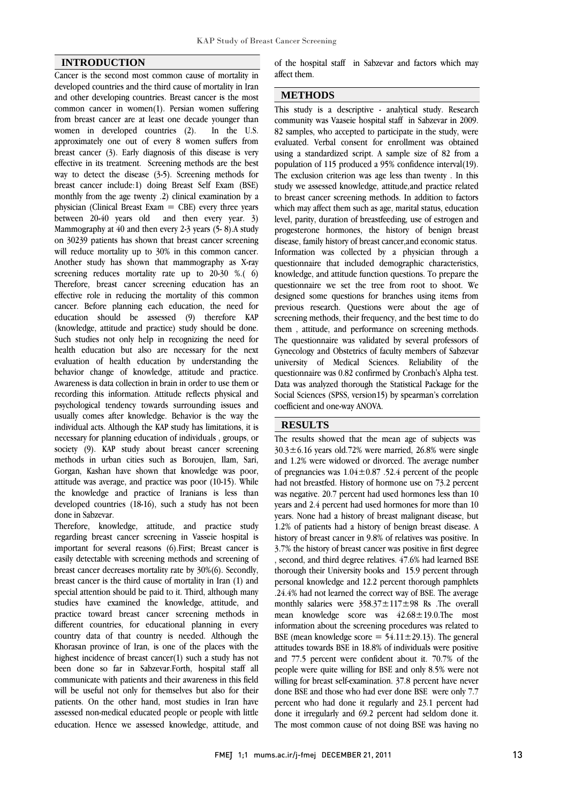### **INTRODUCTION**

Cancer is the second most common cause of mortality in developed countries and the third cause of mortality in Iran and other developing countries. Breast cancer is the most common cancer in women(1). Persian women suffering from breast cancer are at least one decade younger than women in developed countries (2). In the U.S. approximately one out of every 8 women suffers from breast cancer (3). Early diagnosis of this disease is very effective in its treatment. Screening methods are the best way to detect the disease (3-5). Screening methods for breast cancer include:1) doing Breast Self Exam (BSE) monthly from the age twenty .2) clinical examination by a physician (Clinical Breast Exam  $=$  CBE) every three years between 20-40 years old and then every year. 3) Mammography at 40 and then every 2-3 years (5- 8).A study on 30239 patients has shown that breast cancer screening will reduce mortality up to 30% in this common cancer. Another study has shown that mammography as X-ray screening reduces mortality rate up to 20-30 %.(6) Therefore, breast cancer screening education has an effective role in reducing the mortality of this common cancer. Before planning each education, the need for education should be assessed (9) therefore KAP (knowledge, attitude and practice) study should be done. Such studies not only help in recognizing the need for health education but also are necessary for the next evaluation of health education by understanding the behavior change of knowledge, attitude and practice. Awareness is data collection in brain in order to use them or recording this information. Attitude reflects physical and psychological tendency towards surrounding issues and usually comes after knowledge. Behavior is the way the individual acts. Although the KAP study has limitations, it is necessary for planning education of individuals , groups, or society (9). KAP study about breast cancer screening methods in urban cities such as Boroujen, Ilam, Sari, Gorgan, Kashan have shown that knowledge was poor, attitude was average, and practice was poor (10-15). While the knowledge and practice of Iranians is less than developed countries (18-16), such a study has not been done in Sabzevar.

Therefore, knowledge, attitude, and practice study regarding breast cancer screening in Vasseie hospital is important for several reasons (6).First; Breast cancer is easily detectable with screening methods and screening of breast cancer decreases mortality rate by 30%(6). Secondly, breast cancer is the third cause of mortality in Iran (1) and special attention should be paid to it. Third, although many studies have examined the knowledge, attitude, and practice toward breast cancer screening methods in different countries, for educational planning in every country data of that country is needed. Although the Khorasan province of Iran, is one of the places with the highest incidence of breast cancer(1) such a study has not been done so far in Sabzevar.Forth, hospital staff all communicate with patients and their awareness in this field will be useful not only for themselves but also for their patients. On the other hand, most studies in Iran have assessed non-medical educated people or people with little education. Hence we assessed knowledge, attitude, and

 of the hospital staff in Sabzevar and factors which may affect them.

# **METHODS**

 This study is a descriptive - analytical study. Research community was Vaaseie hospital staff in Sabzevar in 2009. 82 samples, who accepted to participate in the study, were evaluated. Verbal consent for enrollment was obtained using a standardized script. A sample size of 82 from a The exclusion criterion was age less than twenty . In this study we assessed knowledge, attitude,and practice related to breast cancer screening methods. In addition to factors which may affect them such as age, marital status, education progesterone hormones, the history of benign breast disease, family history of breast cancer,and economic status. Information was collected by a physician through a knowledge, and attitude function questions. To prepare the questionnaire we set the tree from root to shoot. We designed some questions for branches using items from previous research. Questions were about the age of serecting incritions, their irequency, and the best time to do<br>them, attitude, and performance on screening methods. The questionnaire was validated by several professors of Gynecology and Obstetrics of faculty members of Sabzevar university of Medical Sciences. Reliability of the Data was analyzed thorough the Statistical Package for the Social Sciences (SPSS, version15) by spearman's correlation coefficient and one-way ANOVA. population of 115 produced a 95% confidence interval(19). level, parity, duration of breastfeeding, use of estrogen and questionnaire that included demographic characteristics, screening methods, their frequency, and the best time to do questionnaire was 0.82 confirmed by Cronbach's Alpha test.

## **RESULTS**

 The results showed that the mean age of subjects was  $30.3\pm6.16$  years old.72% were married, 26.8% were single and 1.2% were widowed or divorced. The average number of pregnancies was  $1.04 \pm 0.87$ . 52.4 percent of the people<br>had not have the little mathematic way we get  $\overline{z}$ ? 2 percent was negative. 20.7 percent had used hormones less than 10 years and 2.4 percent had used hormones for more than 10 years. None had a history of breast malignant disease, but history of breast cancer in 9.8% of relatives was positive. In 3.7% the history of breast cancer was positive in first degree , second, and third degree relatives. 47.6% had learned BSE thorough their University books and 15.9 percent through .24.4% had not learned the correct way of BSE. The average monthly salaries were  $358.37 \pm 117 \pm 98$  Rs . The overall mean knowledge score was  $42.68 \pm 19.0$ . The most information about the screening procedures was related to attitudes towards BSE in 18.8% of individuals were positive and 77.5 percent were confident about it. 70.7% of the people were quite willing for BSE and only 8.5% were not willing for breast self-examination. 37.8 percent have never percent who had done it regularly and 23.1 percent had done it irregularly and 69.2 percent had seldom done it. The most common cause of not doing BSE was having no had not breastfed. History of hormone use on 73.2 percent 1.2% of patients had a history of benign breast disease. A personal knowledge and 12.2 percent thorough pamphlets BSE (mean knowledge score  $= 54.11 \pm 29.13$ ). The general done BSE and those who had ever done BSE were only 7.7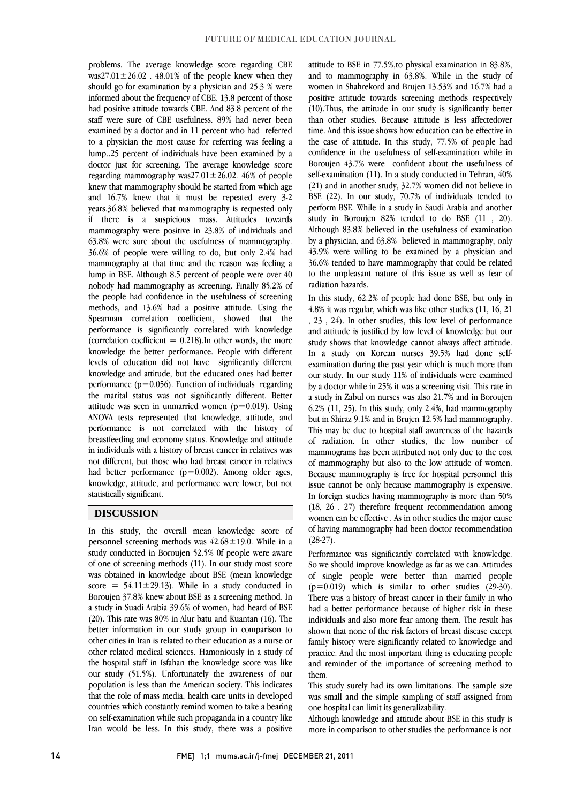problems. The average knowledge score regarding CBE  $was27.01 \pm 26.02$ . 48.01% of the people knew when they should go for examination by a physician and 25.3 % were informed about the frequency of CBE. 13.8 percent of those staff were sure of CBE usefulness. 89% had never been examined by a doctor and in 11 percent who had referred to a physician the most cause for referring was feeling a lump..25 percent of individuals have been examined by a regarding mammography was $27.01 \pm 26.02$ . 46% of people knew that mammography should be started from which age and 16.7% knew that it must be repeated every 3-2 years.36.8% believed that mammography is requested only mammography were positive in 23.8% of individuals and 63.8% were sure about the usefulness of mammography. 36.6% of people were willing to do, but only 2.4% had mammography at that time and the reason was feeling a<br>large in PSE, Although 2.5 noticent of needle water aver 40 nobody had mammography as screening. Finally 85.2% of the people had confidence in the usefulness of screening methods, and 13.6% had a positive attitude. Using the performance is significantly correlated with knowledge (correlation coefficient  $= 0.218$ ). In other words, the more knowledge the better performance. People with different levels of education did not have significantly different performance (p=0.056). Function of individuals regarding the marital status was not significantly different. Better attitude was seen in unmarried women (p=0.019). Using ANOVA tests represented that knowledge, attitude, and breastfeeding and economy status. Knowledge and attitude in individuals with a history of breast cancer in relatives was not different, but those who had breast cancer in relatives had better performance (p=0.002). Among older ages, knowledge, attitude, and performance were lower, but not had positive attitude towards CBE. And 83.8 percent of the doctor just for screening. The average knowledge score if there is a suspicious mass. Attitudes towards lump in BSE. Although 8.5 percent of people were over 40 Spearman correlation coefficient, showed that the knowledge and attitude, but the educated ones had better performance is not correlated with the history of statistically significant.

### **DISCUSSION**

 In this study, the overall mean knowledge score of personnel screening methods was  $42.68 \pm 19.0$ . While in a of one of screening methods (11). In our study most score was obtained in knowledge about BSE (mean knowledge score =  $54.11 \pm 29.13$ ). While in a study conducted in Boroujen 37.8% knew about BSE as a screening method. In (20). This rate was 80% in Alur batu and Kuantan (16). The better information in our study group in comparison to other cities in Iran is related to their education as a nurse or other related medical sciences. Hamoniously in a study of our study (51.5%). Unfortunately the awareness of our population is less than the American society. This indicates that the role of mass media, health care units in developed on self-examination while such propaganda in a country like Iran would be less. In this study, there was a positive study conducted in Boroujen 52.5% 0f people were aware a study in Suadi Arabia 39.6% of women, had heard of BSE the hospital staff in Isfahan the knowledge score was like countries which constantly remind women to take a bearing

 attitude to BSE in 77.5%,to physical examination in 83.8%, and to mammography in 63.8%. While in the study of women in Shahrekord and Brujen 13.53% and 16.7% had a positive attitude towards screening methods respectively than other studies. Because attitude is less affectedover time. And this issue shows how education can be effective in the case of attitude. In this study, 77.5% of people had Boroujen 43.7% were confident about the usefulness of self-examination (11). In a study conducted in Tehran, 40% (21) and in another study, 32.7% women did not believe in BSE (22). In our study, 70.7% of individuals tended to study in Boroujen 82% tended to do BSE (11 , 20). Although 83.8% believed in the usefulness of examination by a physician, and 63.8% believed in mammography, only 43.9% were willing to be examined by a physician and to the unpleasant nature of this issue as well as fear of (10).Thus, the attitude in our study is significantly better confidence in the usefulness of self-examination while in perform BSE. While in a study in Saudi Arabia and another 36.6% tended to have mammography that could be related radiation hazards.

 In this study, 62.2% of people had done BSE, but only in 4.8% it was regular, which was like other studies (11, 16, 21 , 23 , 24). In other studies, this low level of performance study shows that knowledge cannot always affect attitude. In a study on Korean nurses 39.5% had done self- examination during the past year which is much more than our study. In our study 11% of individuals were examined a study in Zabul on nurses was also 21.7% and in Boroujen 6.2% (11, 25). In this study, only 2.4%, had mammography but in Shiraz 9.1% and in Brujen 12.5% had mammography. This may be due to hospital staff awareness of the hazards mammograms has been attributed not only due to the cost of mammography but also to the low attitude of women. Because mammography is free for hospital personnel this In foreign studies having mammography is expensive.<br>In foreign studies having mammography is more than 50%  $(18, 26, 27)$  therefore frequent recommendation among women can be effective . As in other studies the major cause of having mammography had been doctor recommendation and attitude is justified by low level of knowledge but our by a doctor while in 25% it was a screening visit. This rate in of radiation. In other studies, the low number of issue cannot be only because mammography is expensive.  $(28-27)$ .

(20-27).<br>Performance was significantly correlated with knowledge. So we should improve knowledge as far as we can. Attitudes of single people were better than married people  $(p=0.019)$  which is similar to other studies (29-30). There was a history of breast cancer in their family in who individuals and also more fear among them. The result has shown that none of the risk factors of breast disease except family history were significantly related to knowledge and practice. And the most important thing is educating people and reminder of the importance of screening method to had a better performance because of higher risk in these them.

 This study surely had its own limitations. The sample size was small and the simple sampling of staff assigned from one hospital can limit its generalizability.

one nospital can limit its generalizability.<br>Although knowledge and attitude about BSE in this study is more in comparison to other studies the performance is not

  $\overline{a}$